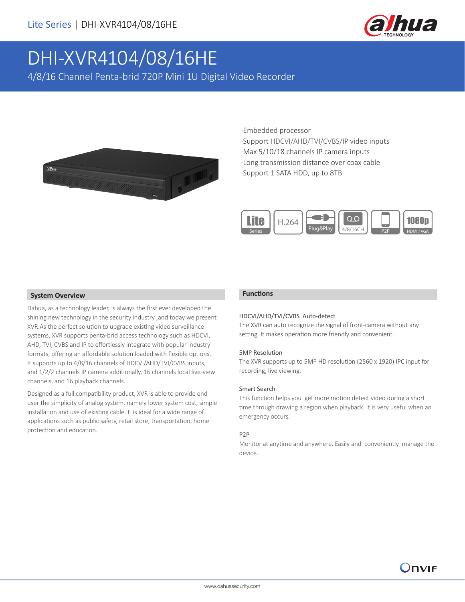

# DHI-XVR4104/08/16HE

4/8/16 Channel Penta-brid 720P Mini 1U Digital Video Recorder



·Embedded processor

·Support HDCVI/AHD/TVI/CVBS/IP video inputs ·Max 5/10/18 channels IP camera inputs ·Long transmission distance over coax cable ·Support 1 SATA HDD, up to 8TB



### **System Overview**

Dahua, as a technology leader, is always the first ever developed the shining new technology in the security industry ,and today we present XVR.As the perfect solution to upgrade existing video surveillance systems, XVR supports penta-brid access technology such as HDCVI, AHD, TVI, CVBS and IP to effortlessly integrate with popular industry formats, offering an affordable solution loaded with flexible options. It supports up to 4/8/16 channels of HDCVI/AHD/TVI/CVBS inputs, and 1/2/2 channels IP camera additionally, 16 channels local live-view channels, and 16 playback channels.

Designed as a full compatibility product, XVR is able to provide end user the simplicity of analog system, namely lower system cost, simple installation and use of existing cable. It is ideal for a wide range of applications such as public safety, retail store, transportation, home protection and education.

### **Functions**

### HDCVI/AHD/TVI/CVBS Auto-detect

The XVR can auto recognize the signal of front-camera without any setting. It makes operation more friendly and convenient.

### 5MP Resolution

The XVR supports up to 5MP HD resolution (2560 x 1920) IPC input for recording, live viewing.

### Smart Search

This function helps you get more motion detect video during a short time through drawing a region when playback. It is very useful when an emergency occurs.

### P2P

Monitor at anytime and anywhere. Easily and conveniently manage the device.

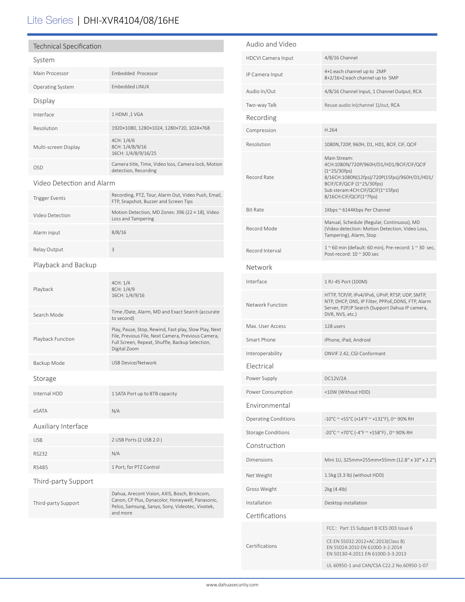## Lite Series | DHI-XVR4104/08/16HE

### Technical Specification

| System                    |                                                                                                                                                                                |  |  |
|---------------------------|--------------------------------------------------------------------------------------------------------------------------------------------------------------------------------|--|--|
| Main Processor            | Embedded Processor                                                                                                                                                             |  |  |
| <b>Operating System</b>   | <b>Embedded LINUX</b>                                                                                                                                                          |  |  |
| Display                   |                                                                                                                                                                                |  |  |
| Interface                 | 1 HDMI, 1 VGA                                                                                                                                                                  |  |  |
| Resolution                | 1920×1080, 1280×1024, 1280×720, 1024×768                                                                                                                                       |  |  |
| Multi-screen Display      | 4CH: 1/4/6<br>8CH: 1/4/8/9/16<br>16CH: 1/4/8/9/16/25                                                                                                                           |  |  |
| <b>OSD</b>                | Camera title, Time, Video loss, Camera lock, Motion<br>detection, Recording                                                                                                    |  |  |
| Video Detection and Alarm |                                                                                                                                                                                |  |  |
| <b>Trigger Events</b>     | Recording, PTZ, Tour, Alarm Out, Video Push, Email,<br>FTP, Snapshot, Buzzer and Screen Tips                                                                                   |  |  |
| Video Detection           | Motion Detection, MD Zones: 396 (22 × 18), Video<br>Loss and Tampering                                                                                                         |  |  |
| Alarm input               | 8/8/16                                                                                                                                                                         |  |  |
| Relay Output              | 3                                                                                                                                                                              |  |  |
| Playback and Backup       |                                                                                                                                                                                |  |  |
| Playback                  | 4CH: 1/4<br>8CH: 1/4/9<br>16CH: 1/4/9/16                                                                                                                                       |  |  |
| Search Mode               | Time /Date, Alarm, MD and Exact Search (accurate<br>to second)                                                                                                                 |  |  |
| Playback Function         | Play, Pause, Stop, Rewind, Fast play, Slow Play, Next<br>File, Previous File, Next Camera, Previous Camera,<br>Full Screen, Repeat, Shuffle, Backup Selection,<br>Digital Zoom |  |  |
| Backup Mode               | USB Device/Network                                                                                                                                                             |  |  |
| Storage                   |                                                                                                                                                                                |  |  |
| Internal HDD              | 1 SATA Port up to 8TB capacity                                                                                                                                                 |  |  |
| eSATA                     | N/A                                                                                                                                                                            |  |  |
| Auxiliary Interface       |                                                                                                                                                                                |  |  |
| <b>USB</b>                | 2 USB Ports (2 USB 2.0)                                                                                                                                                        |  |  |
| RS232                     | N/A                                                                                                                                                                            |  |  |
| <b>RS485</b>              | 1 Port, for PTZ Control                                                                                                                                                        |  |  |
| Third-party Support       |                                                                                                                                                                                |  |  |
| Third-party Support       | Dahua, Arecont Vision, AXIS, Bosch, Brickcom,<br>Canon, CP Plus, Dynacolor, Honeywell, Panasonic,<br>Pelco, Samsung, Sanyo, Sony, Videotec, Vivotek,<br>and more               |  |  |
|                           |                                                                                                                                                                                |  |  |

| Audio and Video             |                                                                                                                                                                                                                                |  |  |
|-----------------------------|--------------------------------------------------------------------------------------------------------------------------------------------------------------------------------------------------------------------------------|--|--|
| <b>HDCVI Camera Input</b>   | 4/8/16 Channel                                                                                                                                                                                                                 |  |  |
| IP Camera Input             | 4+1:each channel up to 2MP<br>8+2/16+2:each channel up to 5MP                                                                                                                                                                  |  |  |
| Audio In/Out                | 4/8/16 Channel Input, 1 Channel Output, RCA                                                                                                                                                                                    |  |  |
| Two-way Talk                | Reuse audio in(channel 1)/out, RCA                                                                                                                                                                                             |  |  |
| Recording                   |                                                                                                                                                                                                                                |  |  |
| Compression                 | H.264                                                                                                                                                                                                                          |  |  |
| Resolution                  | 1080N, 720P, 960H, D1, HD1, BCIF, CIF, QCIF                                                                                                                                                                                    |  |  |
| Record Rate                 | Main Stream:<br>4CH:1080N/720P/960H/D1/HD1/BCIF/CIF/QCIF<br>$(1^{\sim}25/30$ fps)<br>8/16CH:1080N(12fps)/720P(15fps)/960H/D1/HD1/<br>BCIF/CIF/QCIF (1~25/30fps)<br>Sub steram:4CH:CIF/QCIF(1~15fps)<br>8/16CH:CIF/QCIF(1~7fps) |  |  |
| Bit Rate                    | 1Kbps ~ 6144Kbps Per Channel                                                                                                                                                                                                   |  |  |
| Record Mode                 | Manual, Schedule (Regular, Continuous), MD<br>(Video detection: Motion Detection, Video Loss,<br>Tampering), Alarm, Stop                                                                                                       |  |  |
| Record Interval             | $1 \sim 60$ min (default: 60 min), Pre-record: $1 \sim 30$ sec,<br>Post-record: 10 ~ 300 sec                                                                                                                                   |  |  |
| Network                     |                                                                                                                                                                                                                                |  |  |
| Interface                   | 1 RJ-45 Port (100M)                                                                                                                                                                                                            |  |  |
| Network Function            | HTTP, TCP/IP, IPv4/IPv6, UPnP, RTSP, UDP, SMTP,<br>NTP, DHCP, DNS, IP Filter, PPPoE, DDNS, FTP, Alarm<br>Server, P2P, IP Search (Support Dahua IP camera,<br>DVR, NVS, etc.)                                                   |  |  |
| Max. User Access            | 128 users                                                                                                                                                                                                                      |  |  |
| Smart Phone                 | iPhone, iPad, Android                                                                                                                                                                                                          |  |  |
| Interoperability            | ONVIF 2.42, CGI Conformant                                                                                                                                                                                                     |  |  |
| Electrical                  |                                                                                                                                                                                                                                |  |  |
| Power Supply                | DC12V/2A                                                                                                                                                                                                                       |  |  |
| Power Consumption           | <10W (Without HDD)                                                                                                                                                                                                             |  |  |
| Environmental               |                                                                                                                                                                                                                                |  |  |
| <b>Operating Conditions</b> | -10°C ~ +55°C (+14°F ~ +131°F), 0~ 90% RH                                                                                                                                                                                      |  |  |
| <b>Storage Conditions</b>   | -20°C ~ +70°C (-4°F ~ +158°F), 0~90% RH                                                                                                                                                                                        |  |  |
| Construction                |                                                                                                                                                                                                                                |  |  |
| Dimensions                  | Mini 1U, 325mm×255mm×55mm (12.8" x 10" x 2.2")                                                                                                                                                                                 |  |  |
| Net Weight                  | 1.5kg (3.3 lb) (without HDD)                                                                                                                                                                                                   |  |  |
| Gross Weight                | 2kg (4.4lb)                                                                                                                                                                                                                    |  |  |
| Installation                | Desktop installation                                                                                                                                                                                                           |  |  |
| Certifications              |                                                                                                                                                                                                                                |  |  |
| Certifications              | FCC: Part 15 Subpart B ICES 003 Issue 6                                                                                                                                                                                        |  |  |
|                             | CE:EN 55032:2012+AC:2013(Class B)<br>EN 55024:2010 EN 61000-3-2:2014<br>EN 50130-4:2011 EN 61000-3-3:2013                                                                                                                      |  |  |
|                             | UL 60950-1 and CAN/CSA C22.2 No.60950-1-07                                                                                                                                                                                     |  |  |